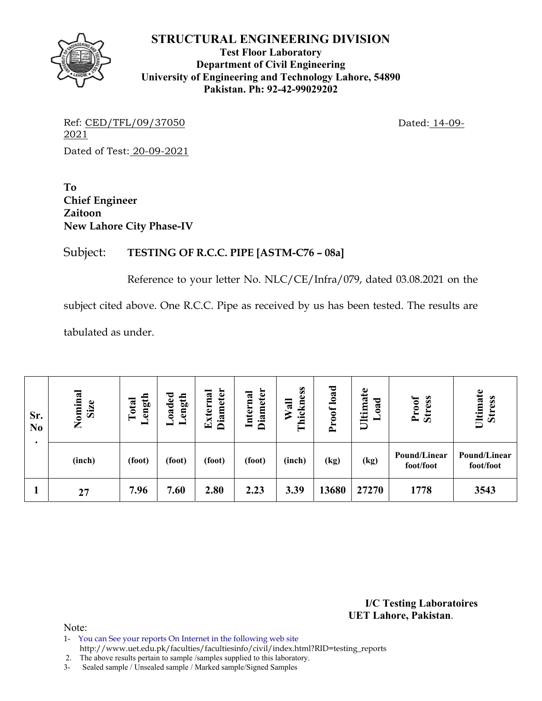

**Test Floor Laboratory Department of Civil Engineering University of Engineering and Technology Lahore, 54890 Pakistan. Ph: 92-42-99029202** 

Ref: CED/TFL/09/37050 Dated: 14-09-2021 Dated of Test: 20-09-2021

**To Chief Engineer Zaitoon New Lahore City Phase-IV** 

# Subject: **TESTING OF R.C.C. PIPE [ASTM-C76 – 08a]**

Reference to your letter No. NLC/CE/Infra/079, dated 03.08.2021 on the

subject cited above. One R.C.C. Pipe as received by us has been tested. The results are

tabulated as under.

| Sr.<br>N <sub>0</sub><br>٠ | Nominal<br>Size | ength<br>Total<br>▬ | $\bf{L}$ oaded<br>ength | <b>Diameter</b><br>xterna<br>$\mathbf{E}$ | <b>Diameter</b><br>Internal | hickness<br>Wall<br>$\vdash$ | load<br>roof<br>$\mathbf{r}$ | Ultimate<br>ರ<br>$\tilde{\mathbf{a}}$ | Proof<br><b>Stress</b>    | Ultimate<br><b>Stress</b> |
|----------------------------|-----------------|---------------------|-------------------------|-------------------------------------------|-----------------------------|------------------------------|------------------------------|---------------------------------------|---------------------------|---------------------------|
|                            | (inch)          | (foot)              | (foot)                  | (foot)                                    | (foot)                      | (inch)                       | (kg)                         | (kg)                                  | Pound/Linear<br>foot/foot | Pound/Linear<br>foot/foot |
|                            | 27              | 7.96                | 7.60                    | 2.80                                      | 2.23                        | 3.39                         | 13680                        | 27270                                 | 1778                      | 3543                      |

**I/C Testing Laboratoires UET Lahore, Pakistan**.

- 1- You can See your reports On Internet in the following web site
- http://www.uet.edu.pk/faculties/facultiesinfo/civil/index.html?RID=testing\_reports
- 2. The above results pertain to sample /samples supplied to this laboratory.
- 3- Sealed sample / Unsealed sample / Marked sample/Signed Samples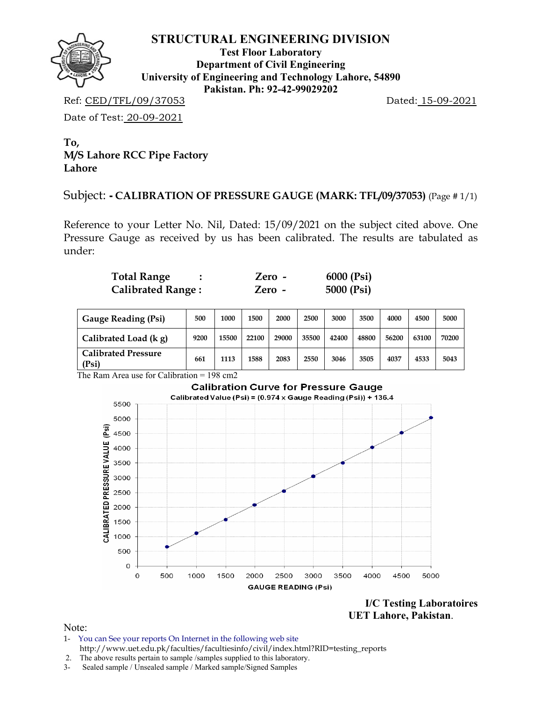

**Test Floor Laboratory Department of Civil Engineering University of Engineering and Technology Lahore, 54890 Pakistan. Ph: 92-42-99029202** 

Ref: CED/TFL/09/37053 Dated: 15-09-2021

Date of Test: 20-09-2021

**To, M/S Lahore RCC Pipe Factory Lahore**

Subject: **- CALIBRATION OF PRESSURE GAUGE (MARK: TFL/09/37053)** (Page # 1/1)

Reference to your Letter No. Nil, Dated: 15/09/2021 on the subject cited above. One Pressure Gauge as received by us has been calibrated. The results are tabulated as under:

| <b>Total Range</b>       | Zero - | 6000 (Psi) |
|--------------------------|--------|------------|
| <b>Calibrated Range:</b> | Zero - | 5000 (Psi) |

| <b>Gauge Reading (Psi)</b>          | 500  | 1000  | 1500  | 2000  | 2500  | 3000  | 3500  | 4000  | 4500  | 5000  |
|-------------------------------------|------|-------|-------|-------|-------|-------|-------|-------|-------|-------|
| Calibrated Load (k g)               | 9200 | 15500 | 22100 | 29000 | 35500 | 42400 | 48800 | 56200 | 63100 | 70200 |
| <b>Calibrated Pressure</b><br>(Psi) | 661  | 1113  | 1588  | 2083  | 2550  | 3046  | 3505  | 4037  | 4533  | 5043  |

The Ram Area use for Calibration = 198 cm2



**I/C Testing Laboratoires UET Lahore, Pakistan**.

- 1- You can See your reports On Internet in the following web site http://www.uet.edu.pk/faculties/facultiesinfo/civil/index.html?RID=testing\_reports
- 2. The above results pertain to sample /samples supplied to this laboratory.
- 3- Sealed sample / Unsealed sample / Marked sample/Signed Samples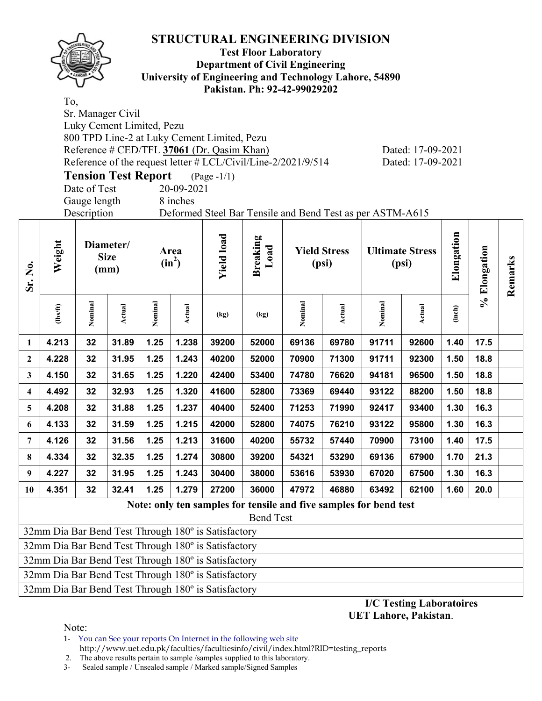

### **Test Floor Laboratory Department of Civil Engineering University of Engineering and Technology Lahore, 54890 Pakistan. Ph: 92-42-99029202**

To, Sr. Manager Civil Luky Cement Limited, Pezu 800 TPD Line-2 at Luky Cement Limited, Pezu Reference # CED/TFL 37061 (Dr. Qasim Khan) Dated: 17-09-2021 Reference of the request letter # LCL/Civil/Line-2/2021/9/514 Dated: 17-09-2021

**Tension Test Report** (Page -1/1) Date of Test 20-09-2021

Gauge length 8 inches

Description Deformed Steel Bar Tensile and Bend Test as per ASTM-A615

| Sr. No.      | Weight         |         | Diameter/<br><b>Size</b><br>(mm) |         | Area<br>$(in^2)$ | <b>Yield load</b>                                   | <b>Breaking</b><br>Load |                                                                   | <b>Yield Stress</b><br>(psi) |         | <b>Ultimate Stress</b><br>(psi) | Elongation | Elongation  | Remarks |
|--------------|----------------|---------|----------------------------------|---------|------------------|-----------------------------------------------------|-------------------------|-------------------------------------------------------------------|------------------------------|---------|---------------------------------|------------|-------------|---------|
|              | $\frac{2}{10}$ | Nominal | Actual                           | Nominal | Actual           | (kg)                                                | (kg)                    | Nominal                                                           | Actual                       | Nominal | <b>Actual</b>                   | (inch)     | $\geqslant$ |         |
| 1            | 4.213          | 32      | 31.89                            | 1.25    | 1.238            | 39200                                               | 52000                   | 69136                                                             | 69780                        | 91711   | 92600                           | 1.40       | 17.5        |         |
| $\mathbf{2}$ | 4.228          | 32      | 31.95                            | 1.25    | 1.243            | 40200                                               | 52000                   | 70900                                                             | 71300                        | 91711   | 92300                           | 1.50       | 18.8        |         |
| 3            | 4.150          | 32      | 31.65                            | 1.25    | 1.220            | 42400                                               | 53400                   | 74780                                                             | 76620                        | 94181   | 96500                           | 1.50       | 18.8        |         |
| 4            | 4.492          | 32      | 32.93                            | 1.25    | 1.320            | 41600                                               | 52800                   | 73369                                                             | 69440                        | 93122   | 88200                           | 1.50       | 18.8        |         |
| 5            | 4.208          | 32      | 31.88                            | 1.25    | 1.237            | 40400                                               | 52400                   | 71253                                                             | 71990                        | 92417   | 93400                           | 1.30       | 16.3        |         |
| 6            | 4.133          | 32      | 31.59                            | 1.25    | 1.215            | 42000                                               | 52800                   | 74075                                                             | 76210                        | 93122   | 95800                           | 1.30       | 16.3        |         |
| 7            | 4.126          | 32      | 31.56                            | 1.25    | 1.213            | 31600                                               | 40200                   | 55732                                                             | 57440                        | 70900   | 73100                           | 1.40       | 17.5        |         |
| 8            | 4.334          | 32      | 32.35                            | 1.25    | 1.274            | 30800                                               | 39200                   | 54321                                                             | 53290                        | 69136   | 67900                           | 1.70       | 21.3        |         |
| 9            | 4.227          | 32      | 31.95                            | 1.25    | 1.243            | 30400                                               | 38000                   | 53616                                                             | 53930                        | 67020   | 67500                           | 1.30       | 16.3        |         |
| 10           | 4.351          | 32      | 32.41                            | 1.25    | 1.279            | 27200                                               | 36000                   | 47972                                                             | 46880                        | 63492   | 62100                           | 1.60       | 20.0        |         |
|              |                |         |                                  |         |                  |                                                     |                         | Note: only ten samples for tensile and five samples for bend test |                              |         |                                 |            |             |         |
|              |                |         |                                  |         |                  |                                                     | <b>Bend Test</b>        |                                                                   |                              |         |                                 |            |             |         |
|              |                |         |                                  |         |                  | 32mm Dia Bar Bend Test Through 180° is Satisfactory |                         |                                                                   |                              |         |                                 |            |             |         |
|              |                |         |                                  |         |                  | 32mm Dia Bar Bend Test Through 180° is Satisfactory |                         |                                                                   |                              |         |                                 |            |             |         |
|              |                |         |                                  |         |                  | 32mm Dia Bar Bend Test Through 180° is Satisfactory |                         |                                                                   |                              |         |                                 |            |             |         |
|              |                |         |                                  |         |                  | 32mm Dia Bar Bend Test Through 180° is Satisfactory |                         |                                                                   |                              |         |                                 |            |             |         |

32mm Dia Bar Bend Test Through 180º is Satisfactory

**I/C Testing Laboratoires UET Lahore, Pakistan**.

Note:

1- You can See your reports On Internet in the following web site http://www.uet.edu.pk/faculties/facultiesinfo/civil/index.html?RID=testing\_reports

2. The above results pertain to sample /samples supplied to this laboratory.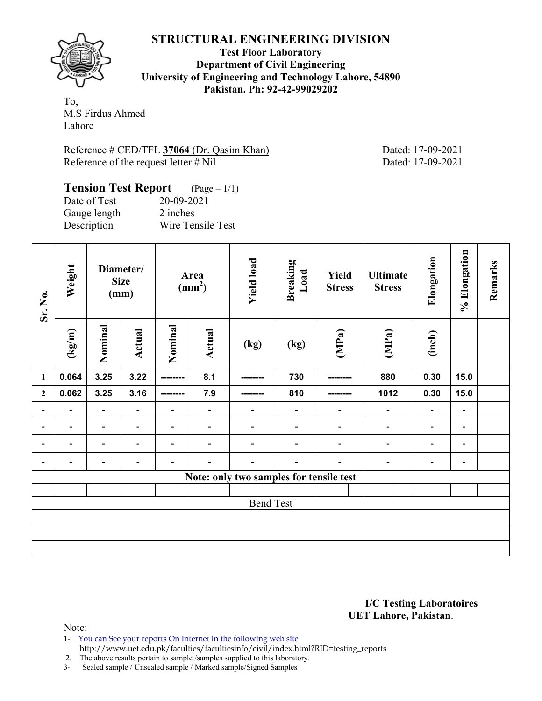

**Test Floor Laboratory Department of Civil Engineering University of Engineering and Technology Lahore, 54890 Pakistan. Ph: 92-42-99029202** 

To, M.S Firdus Ahmed Lahore

Reference # CED/TFL **37064** (Dr. Qasim Khan) Dated: 17-09-2021 Reference of the request letter # Nil Dated: 17-09-2021

### **Tension Test Report** (Page – 1/1) Date of Test 20-09-2021 Gauge length 2 inches

Description Wire Tensile Test

| Sr. No.                  | Weight                           |                          | Diameter/<br><b>Size</b><br>(mm) |                          | Area<br>$\text{(mm}^2)$  | <b>Yield load</b>                       | <b>Breaking</b><br>Load      | <b>Yield</b><br><b>Stress</b> | <b>Ultimate</b><br><b>Stress</b> | Elongation                   | % Elongation             | Remarks |
|--------------------------|----------------------------------|--------------------------|----------------------------------|--------------------------|--------------------------|-----------------------------------------|------------------------------|-------------------------------|----------------------------------|------------------------------|--------------------------|---------|
|                          | $\frac{(\text{kg/m})}{\text{m}}$ | Nominal                  | <b>Actual</b>                    | Nominal                  | <b>Actual</b>            | (kg)                                    | (kg)                         | (MPa)                         | (MPa)                            | (inch)                       |                          |         |
| $\mathbf{1}$             | 0.064                            | 3.25                     | 3.22                             | --------                 | 8.1                      |                                         | 730                          |                               | 880                              | 0.30                         | 15.0                     |         |
| $\mathbf{2}$             | 0.062                            | 3.25                     | 3.16                             | ---------                | 7.9                      |                                         | 810                          |                               | 1012                             | 0.30                         | 15.0                     |         |
| $\blacksquare$           | $\overline{\phantom{a}}$         | $\blacksquare$           | $\blacksquare$                   | $\overline{\phantom{0}}$ |                          | $\qquad \qquad \blacksquare$            | $\overline{\phantom{a}}$     | $\overline{\phantom{0}}$      | $\overline{\phantom{a}}$         | $\qquad \qquad \blacksquare$ | $\overline{\phantom{a}}$ |         |
| $\blacksquare$           | $\overline{\phantom{0}}$         | $\overline{\phantom{a}}$ | $\overline{\phantom{a}}$         | $\overline{\phantom{0}}$ | $\overline{\phantom{a}}$ | $\qquad \qquad \blacksquare$            | $\qquad \qquad \blacksquare$ | $\overline{\phantom{0}}$      | $\overline{\phantom{a}}$         | $\blacksquare$               | $\overline{\phantom{a}}$ |         |
| $\overline{\phantom{0}}$ | $\overline{\phantom{0}}$         | $\blacksquare$           | $\overline{\phantom{0}}$         | $\overline{\phantom{0}}$ |                          | $\overline{\phantom{0}}$                | $\qquad \qquad \blacksquare$ | $\overline{\phantom{a}}$      | $\overline{\phantom{a}}$         | $\overline{a}$               | $\overline{\phantom{a}}$ |         |
| -                        | $\overline{\phantom{0}}$         | $\overline{\phantom{0}}$ | $\overline{\phantom{a}}$         | $\overline{a}$           |                          | $\overline{\phantom{a}}$                | $\overline{\phantom{0}}$     | $\overline{\phantom{a}}$      | $\qquad \qquad \blacksquare$     | -                            | $\overline{\phantom{a}}$ |         |
|                          |                                  |                          |                                  |                          |                          | Note: only two samples for tensile test |                              |                               |                                  |                              |                          |         |
|                          |                                  |                          |                                  |                          |                          |                                         |                              |                               |                                  |                              |                          |         |
|                          |                                  |                          |                                  |                          |                          | <b>Bend Test</b>                        |                              |                               |                                  |                              |                          |         |
|                          |                                  |                          |                                  |                          |                          |                                         |                              |                               |                                  |                              |                          |         |
|                          |                                  |                          |                                  |                          |                          |                                         |                              |                               |                                  |                              |                          |         |
|                          |                                  |                          |                                  |                          |                          |                                         |                              |                               |                                  |                              |                          |         |

### **I/C Testing Laboratoires UET Lahore, Pakistan**.

Note:

1- You can See your reports On Internet in the following web site http://www.uet.edu.pk/faculties/facultiesinfo/civil/index.html?RID=testing\_reports

2. The above results pertain to sample /samples supplied to this laboratory.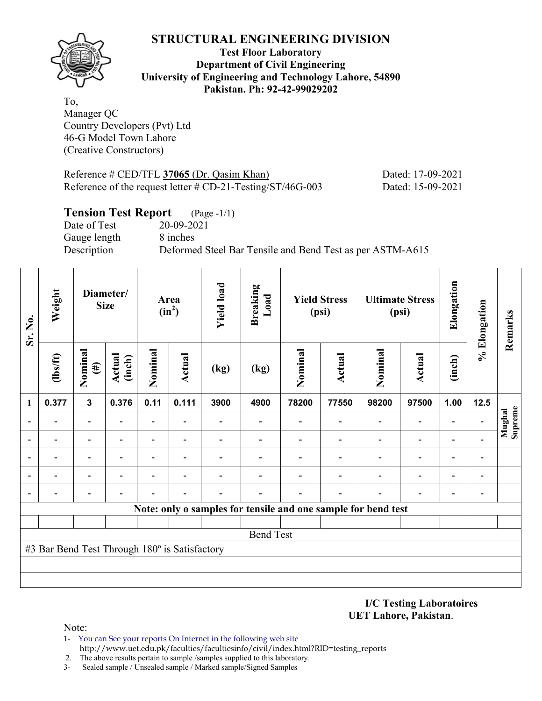

**Test Floor Laboratory Department of Civil Engineering University of Engineering and Technology Lahore, 54890 Pakistan. Ph: 92-42-99029202** 

To, Manager QC Country Developers (Pvt) Ltd 46-G Model Town Lahore (Creative Constructors)

Reference # CED/TFL **37065** (Dr. Qasim Khan) Dated: 17-09-2021 Reference of the request letter # CD-21-Testing/ST/46G-003 Dated: 15-09-2021

# **Tension Test Report** (Page -1/1) Date of Test 20-09-2021 Gauge length 8 inches Description Deformed Steel Bar Tensile and Bend Test as per ASTM-A615

| Sr. No.        | Weight                                        |                          | Diameter/<br><b>Size</b> |                          | Area<br>$(in^2)$         | <b>Yield load</b> | <b>Breaking</b><br>Load |         | <b>Yield Stress</b><br>(psi) |                                                               | <b>Ultimate Stress</b><br>(psi) | Elongation               | % Elongation | Remarks           |
|----------------|-----------------------------------------------|--------------------------|--------------------------|--------------------------|--------------------------|-------------------|-------------------------|---------|------------------------------|---------------------------------------------------------------|---------------------------------|--------------------------|--------------|-------------------|
|                | $\frac{2}{10}$                                | Nominal<br>$(\#)$        | Actual<br>(inch)         | Nominal                  | <b>Actual</b>            | (kg)              | (kg)                    | Nominal | Actual                       | Nominal                                                       | Actual                          | (inch)                   |              |                   |
| 1              | 0.377                                         | $\mathbf{3}$             | 0.376                    | 0.11                     | 0.111                    | 3900              | 4900                    | 78200   | 77550                        | 98200                                                         | 97500                           | 1.00                     | 12.5         |                   |
| $\blacksquare$ |                                               | $\blacksquare$           |                          | ٠                        |                          |                   |                         |         |                              | $\blacksquare$                                                | $\blacksquare$                  | ۰                        |              | Supreme<br>Mughal |
|                |                                               | $\overline{\phantom{0}}$ |                          |                          |                          |                   |                         |         |                              |                                                               | $\overline{a}$                  | $\overline{a}$           |              |                   |
|                |                                               | $\overline{\phantom{0}}$ |                          |                          |                          |                   |                         |         |                              |                                                               | -                               | $\overline{\phantom{0}}$ |              |                   |
|                |                                               | $\overline{\phantom{0}}$ |                          | $\overline{\phantom{0}}$ | $\overline{\phantom{0}}$ |                   |                         |         |                              |                                                               | $\overline{\phantom{0}}$        | $\overline{a}$           |              |                   |
|                |                                               |                          |                          |                          |                          |                   |                         |         |                              |                                                               |                                 | $\overline{\phantom{0}}$ |              |                   |
|                |                                               |                          |                          |                          |                          |                   |                         |         |                              | Note: only o samples for tensile and one sample for bend test |                                 |                          |              |                   |
|                |                                               |                          |                          |                          |                          |                   |                         |         |                              |                                                               |                                 |                          |              |                   |
|                |                                               |                          |                          |                          |                          |                   | <b>Bend Test</b>        |         |                              |                                                               |                                 |                          |              |                   |
|                | #3 Bar Bend Test Through 180° is Satisfactory |                          |                          |                          |                          |                   |                         |         |                              |                                                               |                                 |                          |              |                   |
|                |                                               |                          |                          |                          |                          |                   |                         |         |                              |                                                               |                                 |                          |              |                   |
|                |                                               |                          |                          |                          |                          |                   |                         |         |                              |                                                               |                                 |                          |              |                   |

**I/C Testing Laboratoires UET Lahore, Pakistan**.

- 1- You can See your reports On Internet in the following web site http://www.uet.edu.pk/faculties/facultiesinfo/civil/index.html?RID=testing\_reports
- 2. The above results pertain to sample /samples supplied to this laboratory.
- 3- Sealed sample / Unsealed sample / Marked sample/Signed Samples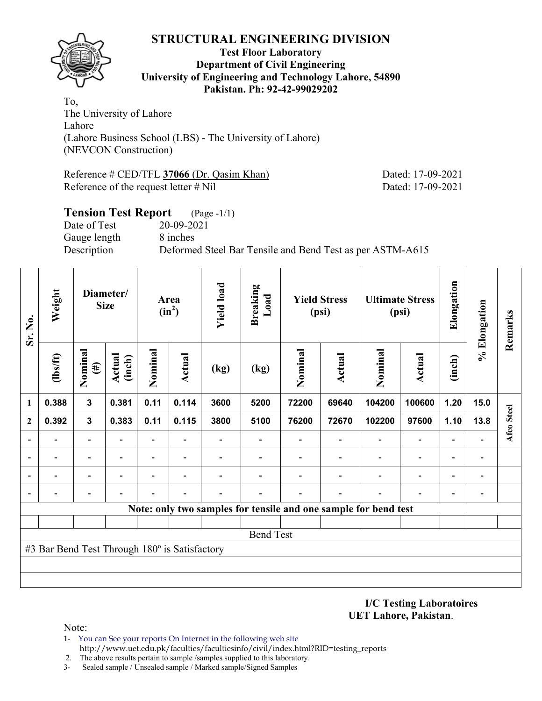

### **Test Floor Laboratory Department of Civil Engineering University of Engineering and Technology Lahore, 54890 Pakistan. Ph: 92-42-99029202**

To, The University of Lahore Lahore (Lahore Business School (LBS) - The University of Lahore) (NEVCON Construction)

Reference # CED/TFL **37066** (Dr. Qasim Khan) Dated: 17-09-2021 Reference of the request letter # Nil Dated: 17-09-2021

# **Tension Test Report** (Page -1/1) Date of Test 20-09-2021 Gauge length 8 inches Description Deformed Steel Bar Tensile and Bend Test as per ASTM-A615

| Sr. No.      | Weight                                        |                   | Diameter/<br><b>Size</b> |                          | Area<br>$(in^2)$ | <b>Yield load</b> | <b>Breaking</b><br>Load                                         |         | <b>Yield Stress</b><br>(psi) |         | <b>Ultimate Stress</b><br>(psi) | Elongation     | % Elongation   | Remarks    |
|--------------|-----------------------------------------------|-------------------|--------------------------|--------------------------|------------------|-------------------|-----------------------------------------------------------------|---------|------------------------------|---------|---------------------------------|----------------|----------------|------------|
|              | (1bs/ft)                                      | Nominal<br>$(\#)$ | <b>Actual</b><br>(inch)  | Nominal                  | Actual           | (kg)              | (kg)                                                            | Nominal | <b>Actual</b>                | Nominal | <b>Actual</b>                   | (inch)         |                |            |
| 1            | 0.388                                         | $\mathbf{3}$      | 0.381                    | 0.11                     | 0.114            | 3600              | 5200                                                            | 72200   | 69640                        | 104200  | 100600                          | 1.20           | 15.0           |            |
| $\mathbf{2}$ | 0.392                                         | $\mathbf{3}$      | 0.383                    | 0.11                     | 0.115            | 3800              | 5100                                                            | 76200   | 72670                        | 102200  | 97600                           | 1.10           | 13.8           | Afco Steel |
|              |                                               |                   |                          |                          |                  |                   |                                                                 |         |                              |         | $\overline{\phantom{0}}$        |                |                |            |
|              |                                               |                   |                          | $\overline{\phantom{0}}$ |                  |                   |                                                                 |         |                              |         | $\overline{\phantom{0}}$        | $\blacksquare$ | $\blacksquare$ |            |
|              |                                               |                   |                          |                          |                  |                   |                                                                 |         |                              |         | $\overline{\phantom{0}}$        |                |                |            |
|              |                                               |                   |                          |                          |                  |                   |                                                                 |         |                              |         |                                 |                |                |            |
|              |                                               |                   |                          |                          |                  |                   | Note: only two samples for tensile and one sample for bend test |         |                              |         |                                 |                |                |            |
|              |                                               |                   |                          |                          |                  |                   |                                                                 |         |                              |         |                                 |                |                |            |
|              |                                               |                   |                          |                          |                  |                   | <b>Bend Test</b>                                                |         |                              |         |                                 |                |                |            |
|              | #3 Bar Bend Test Through 180° is Satisfactory |                   |                          |                          |                  |                   |                                                                 |         |                              |         |                                 |                |                |            |
|              |                                               |                   |                          |                          |                  |                   |                                                                 |         |                              |         |                                 |                |                |            |
|              |                                               |                   |                          |                          |                  |                   |                                                                 |         |                              |         |                                 |                |                |            |

**I/C Testing Laboratoires UET Lahore, Pakistan**.

- 1- You can See your reports On Internet in the following web site http://www.uet.edu.pk/faculties/facultiesinfo/civil/index.html?RID=testing\_reports
- 2. The above results pertain to sample /samples supplied to this laboratory.
- 3- Sealed sample / Unsealed sample / Marked sample/Signed Samples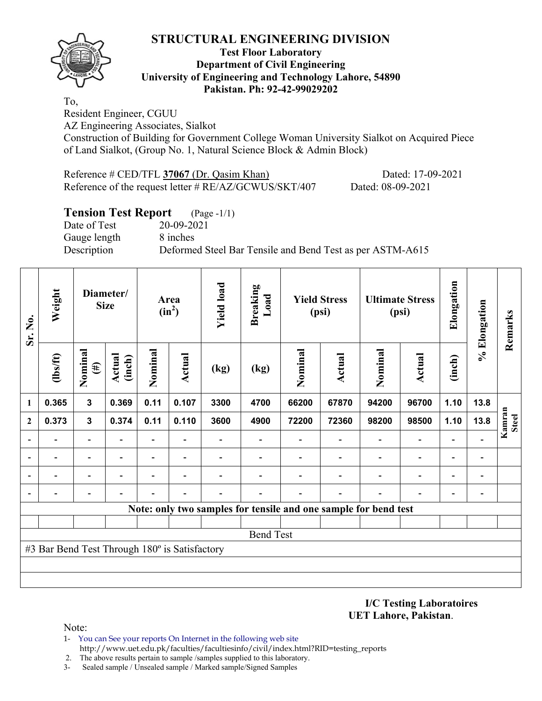### **Test Floor Laboratory Department of Civil Engineering University of Engineering and Technology Lahore, 54890 Pakistan. Ph: 92-42-99029202**

To,

Resident Engineer, CGUU

AZ Engineering Associates, Sialkot

Construction of Building for Government College Woman University Sialkot on Acquired Piece of Land Sialkot, (Group No. 1, Natural Science Block & Admin Block)

Reference # CED/TFL **37067** (Dr. Qasim Khan) Dated: 17-09-2021 Reference of the request letter # RE/AZ/GCWUS/SKT/407 Dated: 08-09-2021

# **Tension Test Report** (Page -1/1)

Date of Test 20-09-2021 Gauge length 8 inches

Description Deformed Steel Bar Tensile and Bend Test as per ASTM-A615

| Sr. No.      | Weight                                        |                          | Diameter/<br><b>Size</b> |                          | Area<br>$(in^2)$ | <b>Yield load</b> | <b>Breaking</b><br>Load |                                                                 | <b>Yield Stress</b><br>(psi) |                          | <b>Ultimate Stress</b><br>(psi) | Elongation               | % Elongation                 | Remarks                |
|--------------|-----------------------------------------------|--------------------------|--------------------------|--------------------------|------------------|-------------------|-------------------------|-----------------------------------------------------------------|------------------------------|--------------------------|---------------------------------|--------------------------|------------------------------|------------------------|
|              | (1bs/ft)                                      | Nominal<br>$(\#)$        | <b>Actual</b><br>(inch)  | Nominal                  | Actual           | (kg)              | (kg)                    | Nominal                                                         | Actual                       | Nominal                  | <b>Actual</b>                   | (inch)                   |                              |                        |
| 1            | 0.365                                         | $\mathbf 3$              | 0.369                    | 0.11                     | 0.107            | 3300              | 4700                    | 66200                                                           | 67870                        | 94200                    | 96700                           | 1.10                     | 13.8                         |                        |
| $\mathbf{2}$ | 0.373                                         | $\mathbf{3}$             | 0.374                    | 0.11                     | 0.110            | 3600              | 4900                    | 72200                                                           | 72360                        | 98200                    | 98500                           | 1.10                     | 13.8                         | Kamran<br><b>Steel</b> |
|              |                                               | $\overline{\phantom{0}}$ |                          | $\overline{\phantom{0}}$ |                  |                   |                         |                                                                 |                              | $\overline{\phantom{0}}$ | $\overline{\phantom{a}}$        |                          |                              |                        |
|              |                                               |                          |                          |                          |                  |                   |                         |                                                                 |                              |                          | $\blacksquare$                  | $\overline{\phantom{0}}$ | $\overline{a}$               |                        |
|              |                                               |                          |                          |                          |                  |                   |                         |                                                                 |                              |                          | $\blacksquare$                  | $\overline{\phantom{0}}$ | $\qquad \qquad \blacksquare$ |                        |
|              |                                               |                          |                          |                          |                  |                   |                         |                                                                 |                              |                          |                                 |                          | $\overline{a}$               |                        |
|              |                                               |                          |                          |                          |                  |                   |                         | Note: only two samples for tensile and one sample for bend test |                              |                          |                                 |                          |                              |                        |
|              |                                               |                          |                          |                          |                  |                   |                         |                                                                 |                              |                          |                                 |                          |                              |                        |
|              |                                               |                          |                          |                          |                  |                   | <b>Bend Test</b>        |                                                                 |                              |                          |                                 |                          |                              |                        |
|              | #3 Bar Bend Test Through 180° is Satisfactory |                          |                          |                          |                  |                   |                         |                                                                 |                              |                          |                                 |                          |                              |                        |
|              |                                               |                          |                          |                          |                  |                   |                         |                                                                 |                              |                          |                                 |                          |                              |                        |
|              |                                               |                          |                          |                          |                  |                   |                         |                                                                 |                              |                          |                                 |                          |                              |                        |

**I/C Testing Laboratoires UET Lahore, Pakistan**.

Note:

1- You can See your reports On Internet in the following web site http://www.uet.edu.pk/faculties/facultiesinfo/civil/index.html?RID=testing\_reports

2. The above results pertain to sample /samples supplied to this laboratory.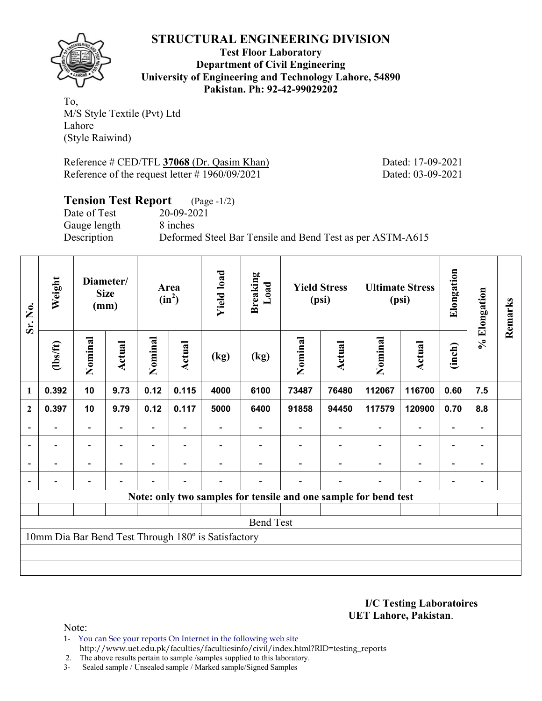

**Test Floor Laboratory Department of Civil Engineering University of Engineering and Technology Lahore, 54890 Pakistan. Ph: 92-42-99029202** 

To, M/S Style Textile (Pvt) Ltd Lahore (Style Raiwind)

Reference # CED/TFL **37068** (Dr. Qasim Khan) Dated: 17-09-2021 Reference of the request letter # 1960/09/2021 Dated: 03-09-2021

# **Tension Test Report** (Page -1/2)

Date of Test 20-09-2021 Gauge length 8 inches

Description Deformed Steel Bar Tensile and Bend Test as per ASTM-A615

| Sr. No.                  | Weight   |                          | Diameter/<br><b>Size</b><br>(mm) |                | Area<br>$(in^2)$         | <b>Yield load</b>                                   | <b>Breaking</b><br>Load |         | <b>Yield Stress</b><br>(psi) |                                                                 | <b>Ultimate Stress</b><br>(psi) | Elongation               | % Elongation   | Remarks |
|--------------------------|----------|--------------------------|----------------------------------|----------------|--------------------------|-----------------------------------------------------|-------------------------|---------|------------------------------|-----------------------------------------------------------------|---------------------------------|--------------------------|----------------|---------|
|                          | (1bs/ft) | Nominal                  | Actual                           | Nominal        | Actual                   | (kg)                                                | (kg)                    | Nominal | Actual                       | Nominal                                                         | Actual                          | (inch)                   |                |         |
| 1                        | 0.392    | 10                       | 9.73                             | 0.12           | 0.115                    | 4000                                                | 6100                    | 73487   | 76480                        | 112067                                                          | 116700                          | 0.60                     | 7.5            |         |
| $\mathbf{2}$             | 0.397    | 10                       | 9.79                             | 0.12           | 0.117                    | 5000                                                | 6400                    | 91858   | 94450                        | 117579                                                          | 120900                          | 0.70                     | 8.8            |         |
|                          |          | $\overline{a}$           |                                  |                |                          |                                                     |                         |         |                              |                                                                 | $\overline{a}$                  | -                        |                |         |
| $\overline{\phantom{a}}$ | Ξ.       | $\overline{\phantom{a}}$ | $\overline{\phantom{a}}$         | Ξ.             | $\overline{\phantom{a}}$ |                                                     |                         |         | $\overline{\phantom{a}}$     | $\blacksquare$                                                  | $\overline{\phantom{a}}$        | $\overline{\phantom{a}}$ | $\blacksquare$ |         |
|                          | Ξ.       | $\overline{\phantom{0}}$ | ۰                                | $\blacksquare$ | $\blacksquare$           |                                                     |                         |         |                              | $\overline{\phantom{0}}$                                        | $\overline{\phantom{a}}$        | $\overline{\phantom{a}}$ | $\blacksquare$ |         |
| $\blacksquare$           |          | $\overline{\phantom{0}}$ | $\blacksquare$                   | $\blacksquare$ | $\blacksquare$           |                                                     |                         |         | $\overline{\phantom{0}}$     | $\overline{\phantom{0}}$                                        | $\overline{a}$                  | $\overline{\phantom{0}}$ |                |         |
|                          |          |                          |                                  |                |                          |                                                     |                         |         |                              | Note: only two samples for tensile and one sample for bend test |                                 |                          |                |         |
|                          |          |                          |                                  |                |                          |                                                     |                         |         |                              |                                                                 |                                 |                          |                |         |
|                          |          |                          |                                  |                |                          |                                                     | <b>Bend Test</b>        |         |                              |                                                                 |                                 |                          |                |         |
|                          |          |                          |                                  |                |                          | 10mm Dia Bar Bend Test Through 180° is Satisfactory |                         |         |                              |                                                                 |                                 |                          |                |         |
|                          |          |                          |                                  |                |                          |                                                     |                         |         |                              |                                                                 |                                 |                          |                |         |
|                          |          |                          |                                  |                |                          |                                                     |                         |         |                              |                                                                 |                                 |                          |                |         |

**I/C Testing Laboratoires UET Lahore, Pakistan**.

Note:

1- You can See your reports On Internet in the following web site http://www.uet.edu.pk/faculties/facultiesinfo/civil/index.html?RID=testing\_reports

2. The above results pertain to sample /samples supplied to this laboratory.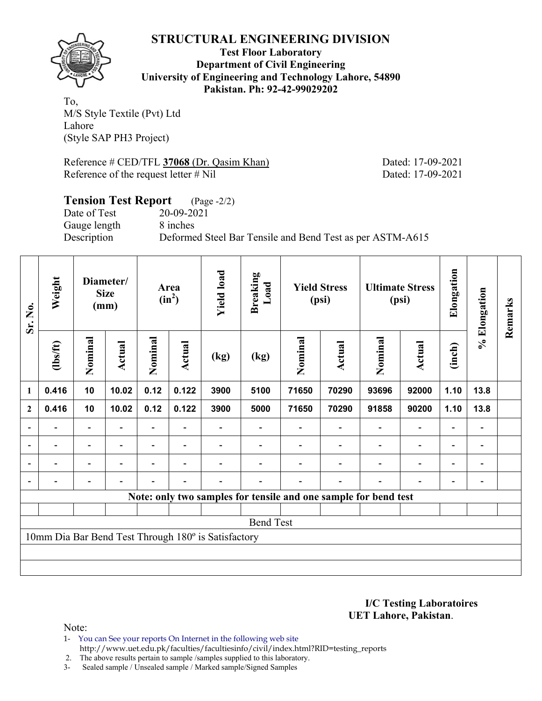

**Test Floor Laboratory Department of Civil Engineering University of Engineering and Technology Lahore, 54890 Pakistan. Ph: 92-42-99029202** 

To, M/S Style Textile (Pvt) Ltd Lahore (Style SAP PH3 Project)

Reference # CED/TFL **37068** (Dr. Qasim Khan) Dated: 17-09-2021 Reference of the request letter # Nil Dated: 17-09-2021

# **Tension Test Report** (Page -2/2) Date of Test 20-09-2021 Gauge length 8 inches Description Deformed Steel Bar Tensile and Bend Test as per ASTM-A615

| Sr. No.                  | Weight                   |                          | Diameter/<br><b>Size</b><br>(mm) |         | Area<br>$(in^2)$         | <b>Yield load</b>                                   | Breaking<br>Load                                                |         | <b>Yield Stress</b><br>(psi) |         | <b>Ultimate Stress</b><br>(psi) | Elongation               | % Elongation                 | Remarks |
|--------------------------|--------------------------|--------------------------|----------------------------------|---------|--------------------------|-----------------------------------------------------|-----------------------------------------------------------------|---------|------------------------------|---------|---------------------------------|--------------------------|------------------------------|---------|
|                          | $\frac{2}{10}$           | Nominal                  | <b>Actual</b>                    | Nominal | <b>Actual</b>            | (kg)                                                | (kg)                                                            | Nominal | Actual                       | Nominal | <b>Actual</b>                   | (inch)                   |                              |         |
| $\mathbf{1}$             | 0.416                    | 10                       | 10.02                            | 0.12    | 0.122                    | 3900                                                | 5100                                                            | 71650   | 70290                        | 93696   | 92000                           | 1.10                     | 13.8                         |         |
| $\overline{2}$           | 0.416                    | 10                       | 10.02                            | 0.12    | 0.122                    | 3900                                                | 5000                                                            | 71650   | 70290                        | 91858   | 90200                           | 1.10                     | 13.8                         |         |
| $\overline{\phantom{0}}$ |                          |                          |                                  |         |                          |                                                     |                                                                 |         |                              |         |                                 |                          |                              |         |
| $\overline{\phantom{a}}$ | $\overline{\phantom{a}}$ | $\overline{\phantom{a}}$ | $\overline{\phantom{0}}$         |         |                          |                                                     |                                                                 |         | $\blacksquare$               |         | $\overline{\phantom{a}}$        | $\overline{\phantom{a}}$ | $\overline{\phantom{a}}$     |         |
| $\overline{\phantom{0}}$ |                          | $\overline{\phantom{0}}$ |                                  |         |                          |                                                     |                                                                 |         | $\blacksquare$               |         | $\overline{\phantom{a}}$        | $\overline{\phantom{0}}$ | $\overline{\phantom{0}}$     |         |
|                          |                          | $\overline{\phantom{0}}$ |                                  |         | $\overline{\phantom{0}}$ |                                                     |                                                                 |         | $\overline{\phantom{0}}$     |         | $\overline{\phantom{0}}$        | $\overline{\phantom{0}}$ | $\qquad \qquad \blacksquare$ |         |
|                          |                          |                          |                                  |         |                          |                                                     | Note: only two samples for tensile and one sample for bend test |         |                              |         |                                 |                          |                              |         |
|                          |                          |                          |                                  |         |                          |                                                     |                                                                 |         |                              |         |                                 |                          |                              |         |
|                          |                          |                          |                                  |         |                          |                                                     | <b>Bend Test</b>                                                |         |                              |         |                                 |                          |                              |         |
|                          |                          |                          |                                  |         |                          | 10mm Dia Bar Bend Test Through 180° is Satisfactory |                                                                 |         |                              |         |                                 |                          |                              |         |
|                          |                          |                          |                                  |         |                          |                                                     |                                                                 |         |                              |         |                                 |                          |                              |         |
|                          |                          |                          |                                  |         |                          |                                                     |                                                                 |         |                              |         |                                 |                          |                              |         |

**I/C Testing Laboratoires UET Lahore, Pakistan**.

- 1- You can See your reports On Internet in the following web site http://www.uet.edu.pk/faculties/facultiesinfo/civil/index.html?RID=testing\_reports
- 2. The above results pertain to sample /samples supplied to this laboratory.
- 3- Sealed sample / Unsealed sample / Marked sample/Signed Samples